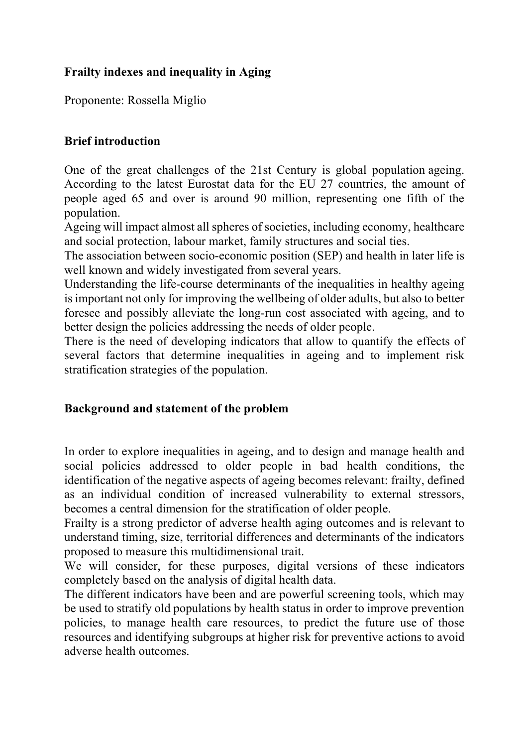# **Frailty indexes and inequality in Aging**

Proponente: Rossella Miglio

### **Brief introduction**

One of the great challenges of the 21st Century is global population ageing. According to the latest Eurostat data for the EU 27 countries, the amount of people aged 65 and over is around 90 million, representing one fifth of the population.

Ageing will impact almost all spheres of societies, including economy, healthcare and social protection, labour market, family structures and social ties.

The association between socio-economic position (SEP) and health in later life is well known and widely investigated from several years.

Understanding the life-course determinants of the inequalities in healthy ageing is important not only for improving the wellbeing of older adults, but also to better foresee and possibly alleviate the long-run cost associated with ageing, and to better design the policies addressing the needs of older people.

There is the need of developing indicators that allow to quantify the effects of several factors that determine inequalities in ageing and to implement risk stratification strategies of the population.

### **Background and statement of the problem**

In order to explore inequalities in ageing, and to design and manage health and social policies addressed to older people in bad health conditions, the identification of the negative aspects of ageing becomes relevant: frailty, defined as an individual condition of increased vulnerability to external stressors, becomes a central dimension for the stratification of older people.

Frailty is a strong predictor of adverse health aging outcomes and is relevant to understand timing, size, territorial differences and determinants of the indicators proposed to measure this multidimensional trait.

We will consider, for these purposes, digital versions of these indicators completely based on the analysis of digital health data.

The different indicators have been and are powerful screening tools, which may be used to stratify old populations by health status in order to improve prevention policies, to manage health care resources, to predict the future use of those resources and identifying subgroups at higher risk for preventive actions to avoid adverse health outcomes.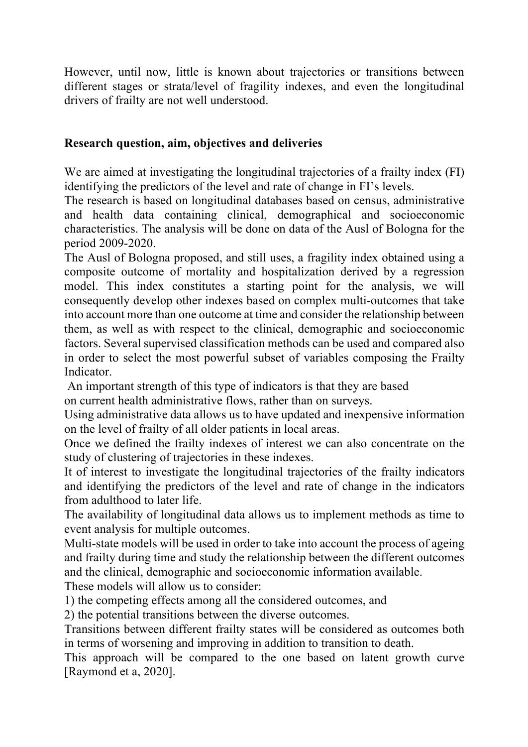However, until now, little is known about trajectories or transitions between different stages or strata/level of fragility indexes, and even the longitudinal drivers of frailty are not well understood.

### **Research question, aim, objectives and deliveries**

We are aimed at investigating the longitudinal trajectories of a frailty index (FI) identifying the predictors of the level and rate of change in FI's levels.

The research is based on longitudinal databases based on census, administrative and health data containing clinical, demographical and socioeconomic characteristics. The analysis will be done on data of the Ausl of Bologna for the period 2009-2020.

The Ausl of Bologna proposed, and still uses, a fragility index obtained using a composite outcome of mortality and hospitalization derived by a regression model. This index constitutes a starting point for the analysis, we will consequently develop other indexes based on complex multi-outcomes that take into account more than one outcome at time and consider the relationship between them, as well as with respect to the clinical, demographic and socioeconomic factors. Several supervised classification methods can be used and compared also in order to select the most powerful subset of variables composing the Frailty Indicator.

An important strength of this type of indicators is that they are based on current health administrative flows, rather than on surveys.

Using administrative data allows us to have updated and inexpensive information on the level of frailty of all older patients in local areas.

Once we defined the frailty indexes of interest we can also concentrate on the study of clustering of trajectories in these indexes.

It of interest to investigate the longitudinal trajectories of the frailty indicators and identifying the predictors of the level and rate of change in the indicators from adulthood to later life.

The availability of longitudinal data allows us to implement methods as time to event analysis for multiple outcomes.

Multi-state models will be used in order to take into account the process of ageing and frailty during time and study the relationship between the different outcomes and the clinical, demographic and socioeconomic information available.

These models will allow us to consider:

1) the competing effects among all the considered outcomes, and

2) the potential transitions between the diverse outcomes.

Transitions between different frailty states will be considered as outcomes both in terms of worsening and improving in addition to transition to death.

This approach will be compared to the one based on latent growth curve [Raymond et a, 2020].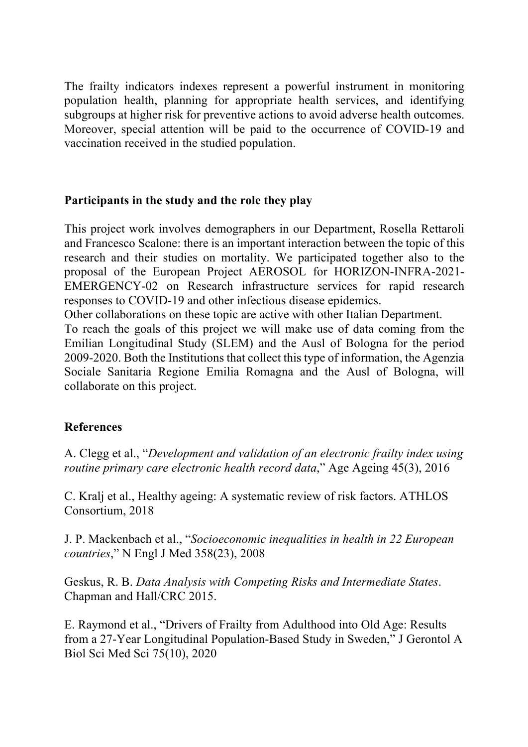The frailty indicators indexes represent a powerful instrument in monitoring population health, planning for appropriate health services, and identifying subgroups at higher risk for preventive actions to avoid adverse health outcomes. Moreover, special attention will be paid to the occurrence of COVID-19 and vaccination received in the studied population.

### **Participants in the study and the role they play**

This project work involves demographers in our Department, Rosella Rettaroli and Francesco Scalone: there is an important interaction between the topic of this research and their studies on mortality. We participated together also to the proposal of the European Project AEROSOL for HORIZON-INFRA-2021- EMERGENCY-02 on Research infrastructure services for rapid research responses to COVID-19 and other infectious disease epidemics.

Other collaborations on these topic are active with other Italian Department.

To reach the goals of this project we will make use of data coming from the Emilian Longitudinal Study (SLEM) and the Ausl of Bologna for the period 2009-2020. Both the Institutions that collect this type of information, the Agenzia Sociale Sanitaria Regione Emilia Romagna and the Ausl of Bologna, will collaborate on this project.

## **References**

A. Clegg et al., "*Development and validation of an electronic frailty index using routine primary care electronic health record data*," Age Ageing 45(3), 2016

C. Kralj et al., Healthy ageing: A systematic review of risk factors. ATHLOS Consortium, 2018

J. P. Mackenbach et al., "*Socioeconomic inequalities in health in 22 European countries*," N Engl J Med 358(23), 2008

Geskus, R. B. *Data Analysis with Competing Risks and Intermediate States*. Chapman and Hall/CRC 2015.

E. Raymond et al., "Drivers of Frailty from Adulthood into Old Age: Results from a 27-Year Longitudinal Population-Based Study in Sweden," J Gerontol A Biol Sci Med Sci 75(10), 2020